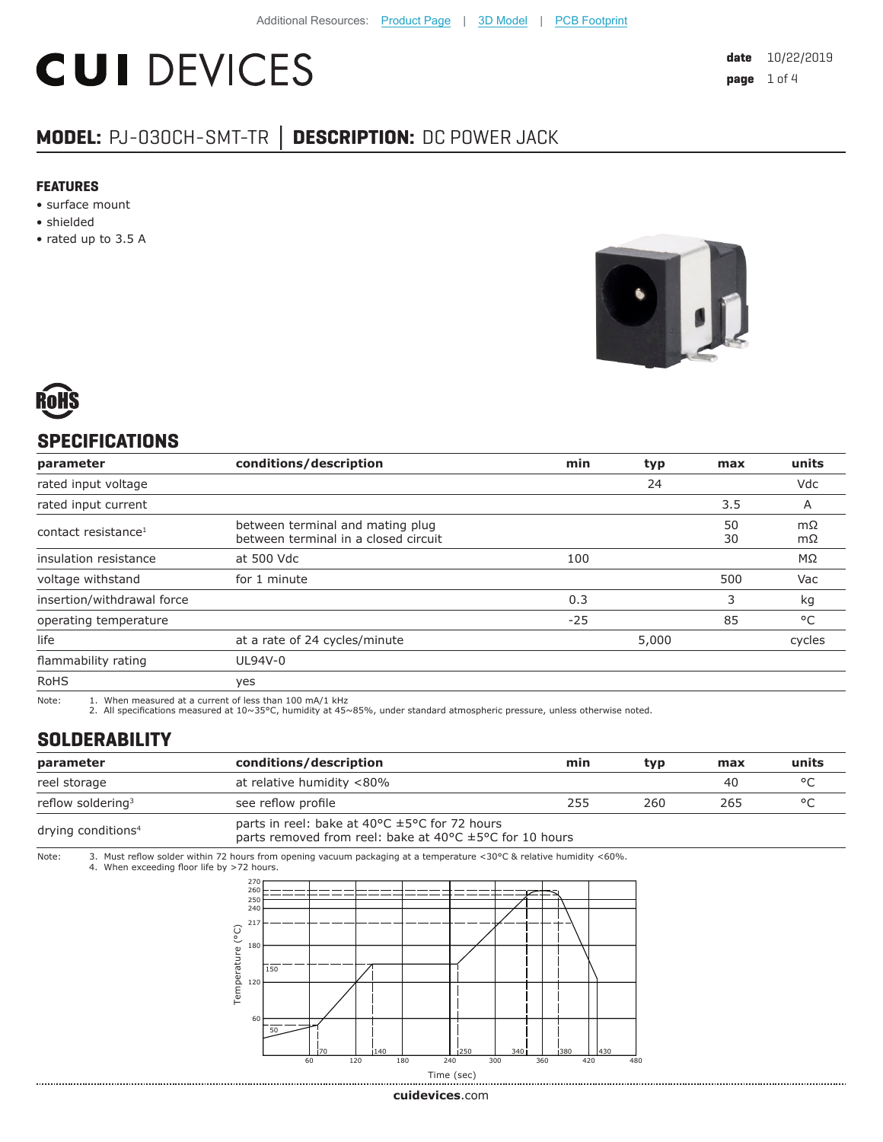# **CUI DEVICES**

### **MODEL:** PJ-030CH-SMT-TR **│ DESCRIPTION:** DC POWER JACK

#### **FEATURES**

- surface mount
- shielded
- rated up to 3.5 A





#### **SPECIFICATIONS**

| parameter                       | conditions/description                                                   | min   | typ   | max      | units        |
|---------------------------------|--------------------------------------------------------------------------|-------|-------|----------|--------------|
| rated input voltage             |                                                                          |       | 24    |          | Vdc          |
| rated input current             |                                                                          |       |       | 3.5      | A            |
| contact resistance <sup>1</sup> | between terminal and mating plug<br>between terminal in a closed circuit |       |       | 50<br>30 | mΩ<br>mΩ     |
| insulation resistance           | at 500 Vdc                                                               | 100   |       |          | MΩ           |
| voltage withstand               | for 1 minute                                                             |       |       | 500      | Vac          |
| insertion/withdrawal force      |                                                                          | 0.3   |       | 3        | kg           |
| operating temperature           |                                                                          | $-25$ |       | 85       | $^{\circ}$ C |
| life                            | at a rate of 24 cycles/minute                                            |       | 5,000 |          | cycles       |
| flammability rating             | UL94V-0                                                                  |       |       |          |              |
| <b>RoHS</b>                     | yes                                                                      |       |       |          |              |

Note: 1. When measured at a current of less than 100 mA/1 kHz

2. All specifications measured at 10~35°C, humidity at 45~85%, under standard atmospheric pressure, unless otherwise noted.

#### **SOLDERABILITY**

| parameter                      | conditions/description                                                                                                            | min | tvp | max | units   |
|--------------------------------|-----------------------------------------------------------------------------------------------------------------------------------|-----|-----|-----|---------|
| reel storage                   | at relative humidity <80%                                                                                                         |     |     | 40  | $\circ$ |
| reflow soldering <sup>3</sup>  | see reflow profile                                                                                                                | 255 | 260 | 265 | $\circ$ |
| drying conditions <sup>4</sup> | parts in reel: bake at 40°C ±5°C for 72 hours<br>parts removed from reel: bake at 40 $\degree$ C $\pm$ 5 $\degree$ C for 10 hours |     |     |     |         |

Note: 3. Must reflow solder within 72 hours from opening vacuum packaging at a temperature <30°C & relative humidity <60%. 4. When exceeding floor life by >72 hours.



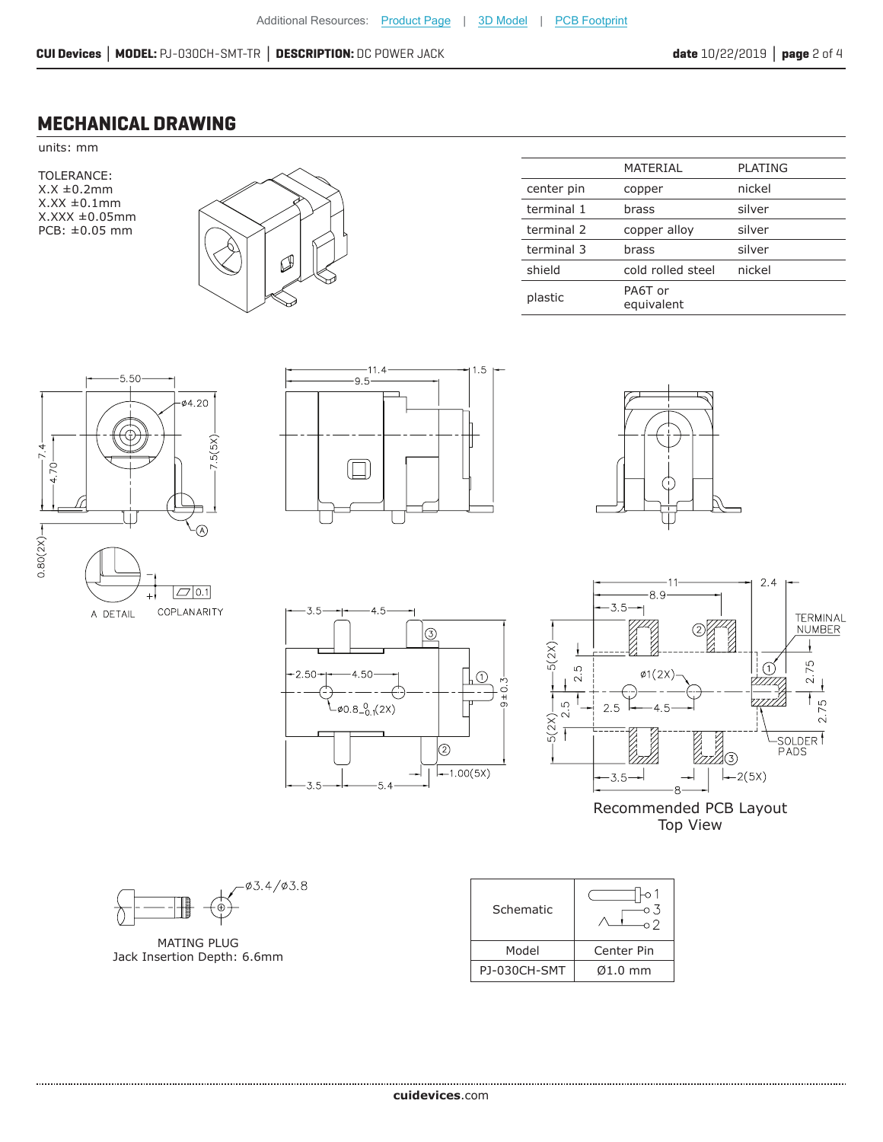#### **MECHANICAL DRAWING**

units: mm

TOLERANCE: X.X ±0.2mm  $X.XX \pm 0.1$ mm X.XXX ±0.05mm PCB: ±0.05 mm



|            | MATERIAL              | <b>PLATING</b> |
|------------|-----------------------|----------------|
| center pin | copper                | nickel         |
| terminal 1 | brass                 | silver         |
| terminal 2 | copper alloy          | silver         |
| terminal 3 | brass                 | silver         |
| shield     | cold rolled steel     | nickel         |
| plastic    | PA6T or<br>equivalent |                |





45

4.50

 $0.8^{0}_{-0.1}(2X)$ 

 $-5.4$ 

 $\circledS$ 

 $(2)$ 

 $-1.00(5X)$ 

ΠΩ

ਂ

 $.3.5$ 

 $2.50 -$ 

 $3.5 -$ 





Recommended PCB Layout Top View

03.4/03.8

MATING PLUG Jack Insertion Depth: 6.6mm

| Schematic    |                    |
|--------------|--------------------|
| Model        | Center Pin         |
| PJ-030CH-SMT | $\emptyset$ 1.0 mm |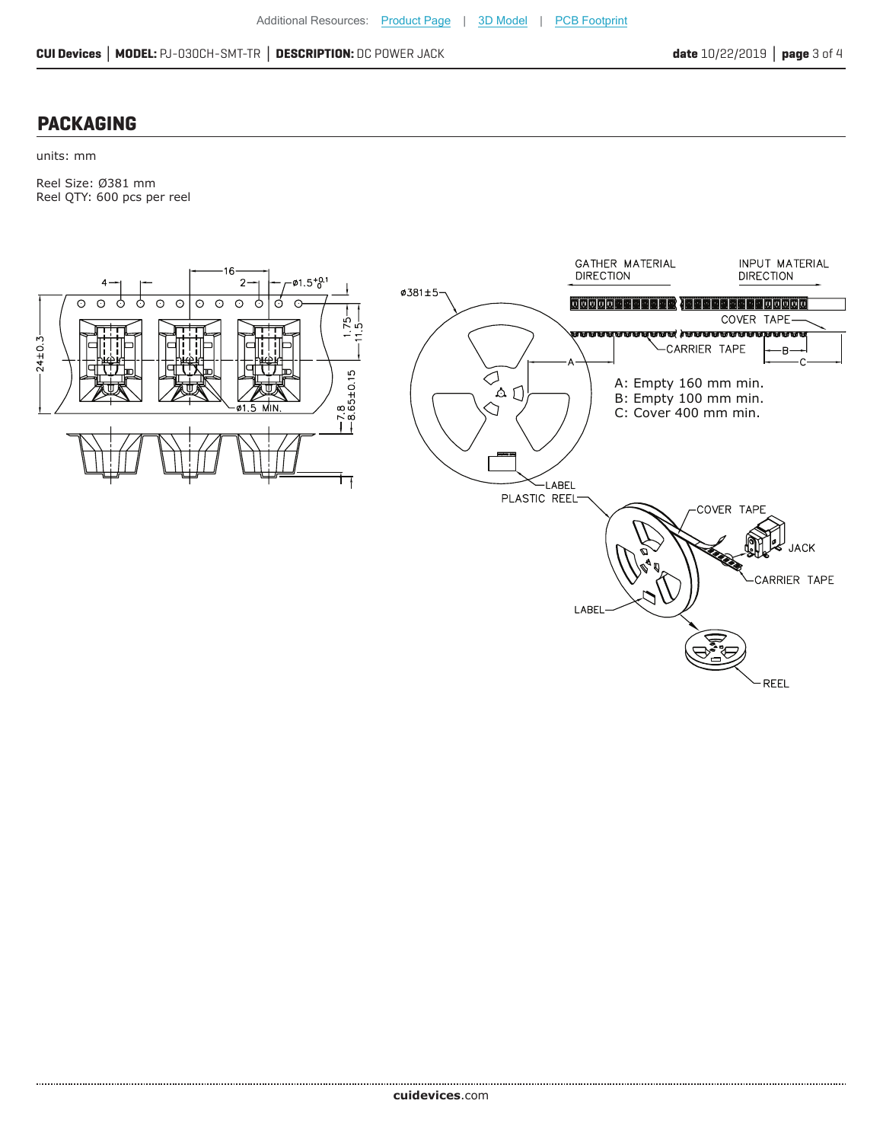#### **PACKAGING**

units: mm

Reel Size: Ø381 mm Reel QTY: 600 pcs per reel